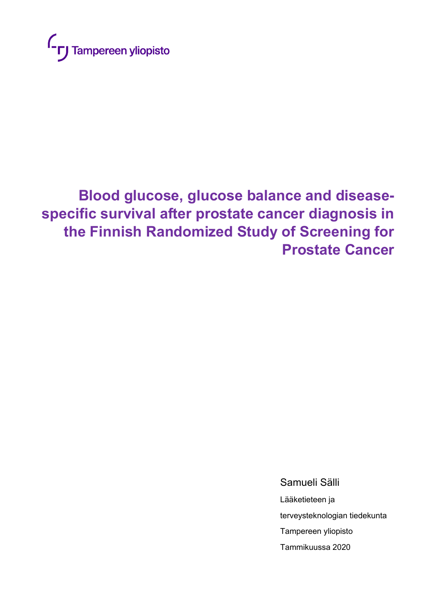

# **Blood glucose, glucose balance and diseasespecific survival after prostate cancer diagnosis in the Finnish Randomized Study of Screening for Prostate Cancer**

Samueli Sälli

Lääketieteen ja terveysteknologian tiedekunta Tampereen yliopisto Tammikuussa 2020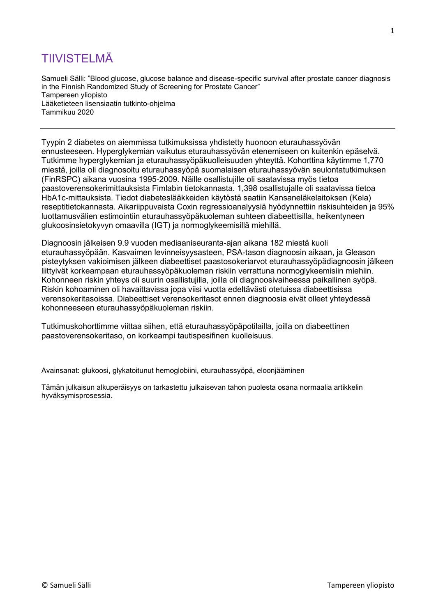# TIIVISTELMÄ

Samueli Sälli: "Blood glucose, glucose balance and disease-specific survival after prostate cancer diagnosis in the Finnish Randomized Study of Screening for Prostate Cancer" Tampereen yliopisto Lääketieteen lisensiaatin tutkinto-ohjelma Tammikuu 2020

Tyypin 2 diabetes on aiemmissa tutkimuksissa yhdistetty huonoon eturauhassyövän ennusteeseen. Hyperglykemian vaikutus eturauhassyövän etenemiseen on kuitenkin epäselvä. Tutkimme hyperglykemian ja eturauhassyöpäkuolleisuuden yhteyttä. Kohorttina käytimme 1,770 miestä, joilla oli diagnosoitu eturauhassyöpä suomalaisen eturauhassyövän seulontatutkimuksen (FinRSPC) aikana vuosina 1995-2009. Näille osallistujille oli saatavissa myös tietoa paastoverensokerimittauksista Fimlabin tietokannasta. 1,398 osallistujalle oli saatavissa tietoa HbA1c-mittauksista. Tiedot diabeteslääkkeiden käytöstä saatiin Kansaneläkelaitoksen (Kela) reseptitietokannasta. Aikariippuvaista Coxin regressioanalyysiä hyödynnettiin riskisuhteiden ja 95% luottamusvälien estimointiin eturauhassyöpäkuoleman suhteen diabeettisilla, heikentyneen glukoosinsietokyvyn omaavilla (IGT) ja normoglykeemisillä miehillä.

Diagnoosin jälkeisen 9.9 vuoden mediaaniseuranta-ajan aikana 182 miestä kuoli eturauhassyöpään. Kasvaimen levinneisyysasteen, PSA-tason diagnoosin aikaan, ja Gleason pisteytyksen vakioimisen jälkeen diabeettiset paastosokeriarvot eturauhassyöpädiagnoosin jälkeen liittyivät korkeampaan eturauhassyöpäkuoleman riskiin verrattuna normoglykeemisiin miehiin. Kohonneen riskin yhteys oli suurin osallistujilla, joilla oli diagnoosivaiheessa paikallinen syöpä. Riskin kohoaminen oli havaittavissa jopa viisi vuotta edeltävästi otetuissa diabeettisissa verensokeritasoissa. Diabeettiset verensokeritasot ennen diagnoosia eivät olleet yhteydessä kohonneeseen eturauhassyöpäkuoleman riskiin.

Tutkimuskohorttimme viittaa siihen, että eturauhassyöpäpotilailla, joilla on diabeettinen paastoverensokeritaso, on korkeampi tautispesifinen kuolleisuus.

Avainsanat: glukoosi, glykatoitunut hemoglobiini, eturauhassyöpä, eloonjääminen

Tämän julkaisun alkuperäisyys on tarkastettu julkaisevan tahon puolesta osana normaalia artikkelin hyväksymisprosessia.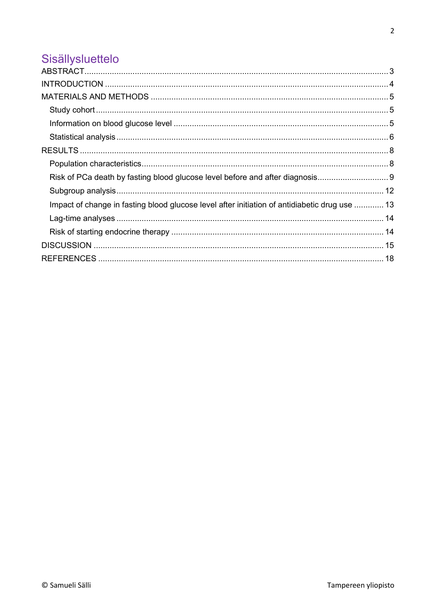# Sisällysluettelo

| Impact of change in fasting blood glucose level after initiation of antidiabetic drug use  13 |  |
|-----------------------------------------------------------------------------------------------|--|
|                                                                                               |  |
|                                                                                               |  |
|                                                                                               |  |
|                                                                                               |  |
|                                                                                               |  |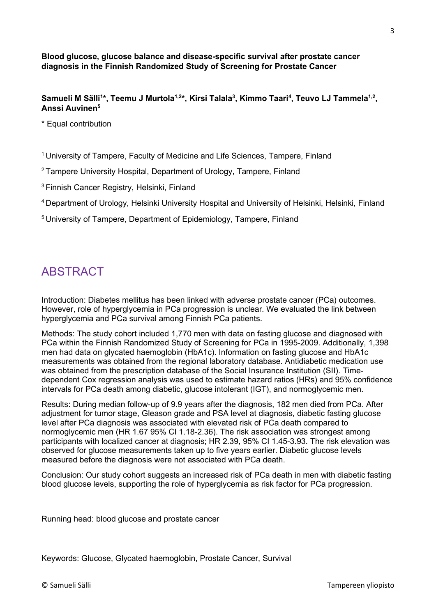**Blood glucose, glucose balance and disease-specific survival after prostate cancer diagnosis in the Finnish Randomized Study of Screening for Prostate Cancer**

**Samueli M Sälli<sup>1</sup> \*, Teemu J Murtola1,2\*, Kirsi Talala<sup>3</sup> , Kimmo Taari<sup>4</sup> , Teuvo LJ Tammela1,2 , Anssi Auvinen<sup>5</sup>**

\* Equal contribution

<sup>1</sup> University of Tampere, Faculty of Medicine and Life Sciences, Tampere, Finland

<sup>2</sup> Tampere University Hospital, Department of Urology, Tampere, Finland

<sup>3</sup> Finnish Cancer Registry, Helsinki, Finland

<sup>4</sup>Department of Urology, Helsinki University Hospital and University of Helsinki, Helsinki, Finland

<sup>5</sup> University of Tampere, Department of Epidemiology, Tampere, Finland

### <span id="page-3-0"></span>ABSTRACT

Introduction: Diabetes mellitus has been linked with adverse prostate cancer (PCa) outcomes. However, role of hyperglycemia in PCa progression is unclear. We evaluated the link between hyperglycemia and PCa survival among Finnish PCa patients.

Methods: The study cohort included 1,770 men with data on fasting glucose and diagnosed with PCa within the Finnish Randomized Study of Screening for PCa in 1995-2009. Additionally, 1,398 men had data on glycated haemoglobin (HbA1c). Information on fasting glucose and HbA1c measurements was obtained from the regional laboratory database. Antidiabetic medication use was obtained from the prescription database of the Social Insurance Institution (SII). Timedependent Cox regression analysis was used to estimate hazard ratios (HRs) and 95% confidence intervals for PCa death among diabetic, glucose intolerant (IGT), and normoglycemic men.

Results: During median follow-up of 9.9 years after the diagnosis, 182 men died from PCa. After adjustment for tumor stage, Gleason grade and PSA level at diagnosis, diabetic fasting glucose level after PCa diagnosis was associated with elevated risk of PCa death compared to normoglycemic men (HR 1.67 95% CI 1.18-2.36). The risk association was strongest among participants with localized cancer at diagnosis; HR 2.39, 95% CI 1.45-3.93. The risk elevation was observed for glucose measurements taken up to five years earlier. Diabetic glucose levels measured before the diagnosis were not associated with PCa death.

Conclusion: Our study cohort suggests an increased risk of PCa death in men with diabetic fasting blood glucose levels, supporting the role of hyperglycemia as risk factor for PCa progression.

Running head: blood glucose and prostate cancer

Keywords: Glucose, Glycated haemoglobin, Prostate Cancer, Survival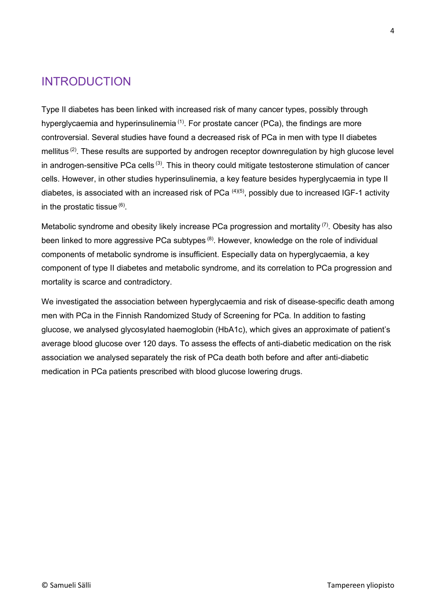### <span id="page-4-0"></span>INTRODUCTION

Type II diabetes has been linked with increased risk of many cancer types, possibly through hyperglycaemia and hyperinsulinemia  $(1)$ . For prostate cancer (PCa), the findings are more controversial. Several studies have found a decreased risk of PCa in men with type II diabetes mellitus<sup>(2)</sup>. These results are supported by androgen receptor downregulation by high glucose level in androgen-sensitive PCa cells (3). This in theory could mitigate testosterone stimulation of cancer cells. However, in other studies hyperinsulinemia, a key feature besides hyperglycaemia in type II diabetes, is associated with an increased risk of PCa  $(4)(5)$ , possibly due to increased IGF-1 activity in the prostatic tissue  $(6)$ .

Metabolic syndrome and obesity likely increase PCa progression and mortality <sup>(7)</sup>. Obesity has also been linked to more aggressive PCa subtypes  $(8)$ . However, knowledge on the role of individual components of metabolic syndrome is insufficient. Especially data on hyperglycaemia, a key component of type II diabetes and metabolic syndrome, and its correlation to PCa progression and mortality is scarce and contradictory.

We investigated the association between hyperglycaemia and risk of disease-specific death among men with PCa in the Finnish Randomized Study of Screening for PCa. In addition to fasting glucose, we analysed glycosylated haemoglobin (HbA1c), which gives an approximate of patient's average blood glucose over 120 days. To assess the effects of anti-diabetic medication on the risk association we analysed separately the risk of PCa death both before and after anti-diabetic medication in PCa patients prescribed with blood glucose lowering drugs.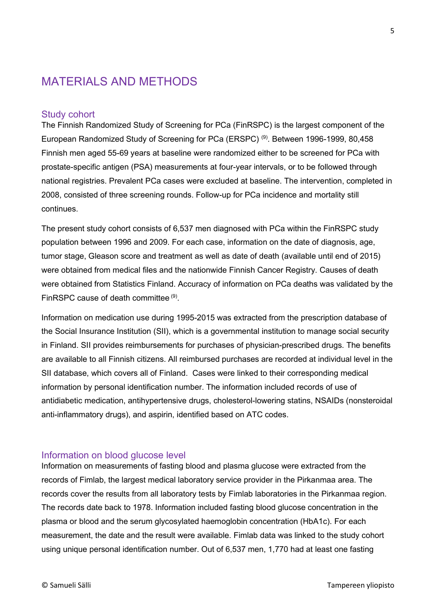### <span id="page-5-0"></span>MATERIALS AND METHODS

#### <span id="page-5-1"></span>Study cohort

The Finnish Randomized Study of Screening for PCa (FinRSPC) is the largest component of the European Randomized Study of Screening for PCa (ERSPC) (9). Between 1996-1999, 80,458 Finnish men aged 55-69 years at baseline were randomized either to be screened for PCa with prostate-specific antigen (PSA) measurements at four-year intervals, or to be followed through national registries. Prevalent PCa cases were excluded at baseline. The intervention, completed in 2008, consisted of three screening rounds. Follow-up for PCa incidence and mortality still continues.

The present study cohort consists of 6,537 men diagnosed with PCa within the FinRSPC study population between 1996 and 2009. For each case, information on the date of diagnosis, age, tumor stage, Gleason score and treatment as well as date of death (available until end of 2015) were obtained from medical files and the nationwide Finnish Cancer Registry. Causes of death were obtained from Statistics Finland. Accuracy of information on PCa deaths was validated by the FinRSPC cause of death committee (9).

Information on medication use during 1995-2015 was extracted from the prescription database of the Social Insurance Institution (SII), which is a governmental institution to manage social security in Finland. SII provides reimbursements for purchases of physician-prescribed drugs. The benefits are available to all Finnish citizens. All reimbursed purchases are recorded at individual level in the SII database, which covers all of Finland. Cases were linked to their corresponding medical information by personal identification number. The information included records of use of antidiabetic medication, antihypertensive drugs, cholesterol-lowering statins, NSAIDs (nonsteroidal anti-inflammatory drugs), and aspirin, identified based on ATC codes.

#### <span id="page-5-2"></span>Information on blood glucose level

Information on measurements of fasting blood and plasma glucose were extracted from the records of Fimlab, the largest medical laboratory service provider in the Pirkanmaa area. The records cover the results from all laboratory tests by Fimlab laboratories in the Pirkanmaa region. The records date back to 1978. Information included fasting blood glucose concentration in the plasma or blood and the serum glycosylated haemoglobin concentration (HbA1c). For each measurement, the date and the result were available. Fimlab data was linked to the study cohort using unique personal identification number. Out of 6,537 men, 1,770 had at least one fasting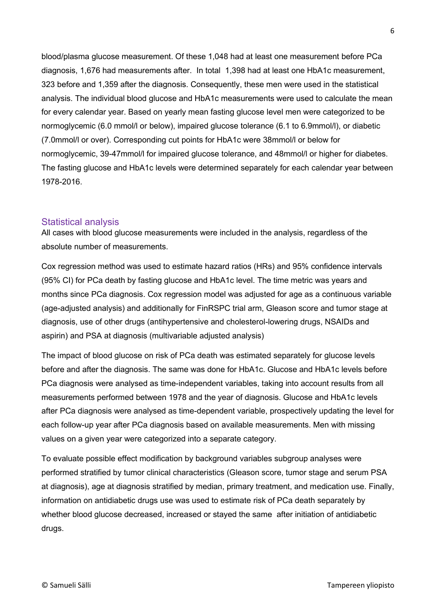blood/plasma glucose measurement. Of these 1,048 had at least one measurement before PCa diagnosis, 1,676 had measurements after. In total 1,398 had at least one HbA1c measurement, 323 before and 1,359 after the diagnosis. Consequently, these men were used in the statistical analysis. The individual blood glucose and HbA1c measurements were used to calculate the mean for every calendar year. Based on yearly mean fasting glucose level men were categorized to be normoglycemic (6.0 mmol/l or below), impaired glucose tolerance (6.1 to 6.9mmol/l), or diabetic (7.0mmol/l or over). Corresponding cut points for HbA1c were 38mmol/l or below for normoglycemic, 39-47mmol/l for impaired glucose tolerance, and 48mmol/l or higher for diabetes. The fasting glucose and HbA1c levels were determined separately for each calendar year between 1978-2016.

#### <span id="page-6-0"></span>Statistical analysis

All cases with blood glucose measurements were included in the analysis, regardless of the absolute number of measurements.

Cox regression method was used to estimate hazard ratios (HRs) and 95% confidence intervals (95% CI) for PCa death by fasting glucose and HbA1c level. The time metric was years and months since PCa diagnosis. Cox regression model was adjusted for age as a continuous variable (age-adjusted analysis) and additionally for FinRSPC trial arm, Gleason score and tumor stage at diagnosis, use of other drugs (antihypertensive and cholesterol-lowering drugs, NSAIDs and aspirin) and PSA at diagnosis (multivariable adjusted analysis)

The impact of blood glucose on risk of PCa death was estimated separately for glucose levels before and after the diagnosis. The same was done for HbA1c. Glucose and HbA1c levels before PCa diagnosis were analysed as time-independent variables, taking into account results from all measurements performed between 1978 and the year of diagnosis. Glucose and HbA1c levels after PCa diagnosis were analysed as time-dependent variable, prospectively updating the level for each follow-up year after PCa diagnosis based on available measurements. Men with missing values on a given year were categorized into a separate category.

To evaluate possible effect modification by background variables subgroup analyses were performed stratified by tumor clinical characteristics (Gleason score, tumor stage and serum PSA at diagnosis), age at diagnosis stratified by median, primary treatment, and medication use. Finally, information on antidiabetic drugs use was used to estimate risk of PCa death separately by whether blood glucose decreased, increased or stayed the same after initiation of antidiabetic drugs.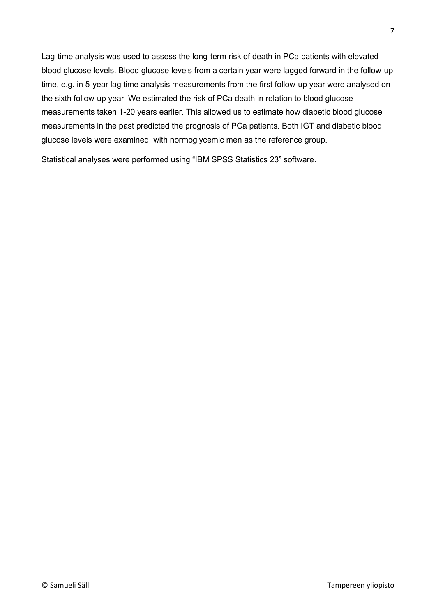Lag-time analysis was used to assess the long-term risk of death in PCa patients with elevated blood glucose levels. Blood glucose levels from a certain year were lagged forward in the follow-up time, e.g. in 5-year lag time analysis measurements from the first follow-up year were analysed on the sixth follow-up year. We estimated the risk of PCa death in relation to blood glucose measurements taken 1-20 years earlier. This allowed us to estimate how diabetic blood glucose measurements in the past predicted the prognosis of PCa patients. Both IGT and diabetic blood glucose levels were examined, with normoglycemic men as the reference group.

Statistical analyses were performed using "IBM SPSS Statistics 23" software.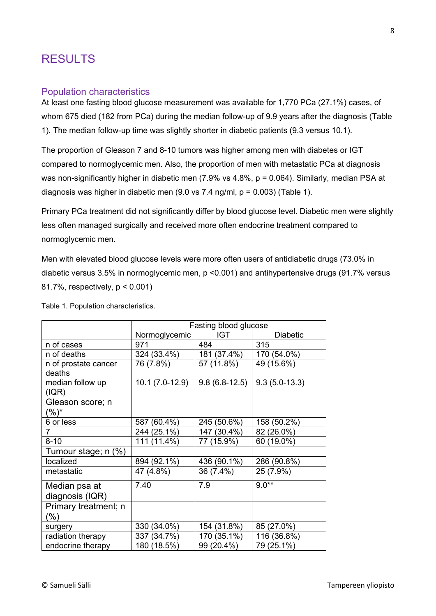### <span id="page-8-0"></span>RESULTS

#### <span id="page-8-1"></span>Population characteristics

At least one fasting blood glucose measurement was available for 1,770 PCa (27.1%) cases, of whom 675 died (182 from PCa) during the median follow-up of 9.9 years after the diagnosis (Table 1). The median follow-up time was slightly shorter in diabetic patients (9.3 versus 10.1).

The proportion of Gleason 7 and 8-10 tumors was higher among men with diabetes or IGT compared to normoglycemic men. Also, the proportion of men with metastatic PCa at diagnosis was non-significantly higher in diabetic men (7.9% vs 4.8%, p = 0.064). Similarly, median PSA at diagnosis was higher in diabetic men (9.0 vs 7.4 ng/ml, p = 0.003) (Table 1).

Primary PCa treatment did not significantly differ by blood glucose level. Diabetic men were slightly less often managed surgically and received more often endocrine treatment compared to normoglycemic men.

Men with elevated blood glucose levels were more often users of antidiabetic drugs (73.0% in diabetic versus 3.5% in normoglycemic men, p <0.001) and antihypertensive drugs (91.7% versus 81.7%, respectively, p < 0.001)

|                           | Fasting blood glucose |                 |                 |  |  |
|---------------------------|-----------------------|-----------------|-----------------|--|--|
|                           | Normoglycemic         | IGT             | <b>Diabetic</b> |  |  |
| n of cases                | 971                   | 484             | 315             |  |  |
| n of deaths               | 324 (33.4%)           | 181 (37.4%)     | 170 (54.0%)     |  |  |
| n of prostate cancer      | 76 (7.8%)             | 57 (11.8%)      | 49 (15.6%)      |  |  |
| deaths                    |                       |                 |                 |  |  |
| median follow up<br>(IQR) | $10.1(7.0-12.9)$      | $9.8(6.8-12.5)$ | $9.3(5.0-13.3)$ |  |  |
| Gleason score; n          |                       |                 |                 |  |  |
| $(%)^{*}$                 |                       |                 |                 |  |  |
| 6 or less                 | 587 (60.4%)           | 245 (50.6%)     | 158 (50.2%)     |  |  |
|                           | 244 (25.1%)           | 147 (30.4%)     | 82 (26.0%)      |  |  |
| $8 - 10$                  | 111 (11.4%)           | 77 (15.9%)      | 60 (19.0%)      |  |  |
| Tumour stage; n (%)       |                       |                 |                 |  |  |
| localized                 | 894 (92.1%)           | 436 (90.1%)     | 286 (90.8%)     |  |  |
| metastatic                | 47 (4.8%)             | 36 (7.4%)       | 25 (7.9%)       |  |  |
| Median psa at             | 7.40                  | 7.9             | $9.0**$         |  |  |
| diagnosis (IQR)           |                       |                 |                 |  |  |
| Primary treatment; n      |                       |                 |                 |  |  |
| (%)                       |                       |                 |                 |  |  |
| surgery                   | 330 (34.0%)           | 154 (31.8%)     | 85 (27.0%)      |  |  |
| radiation therapy         | 337 (34.7%)           | 170 (35.1%)     | 116 (36.8%)     |  |  |
| endocrine therapy         | 180 (18.5%)           | 99 (20.4%)      | 79 (25.1%)      |  |  |

Table 1. Population characteristics.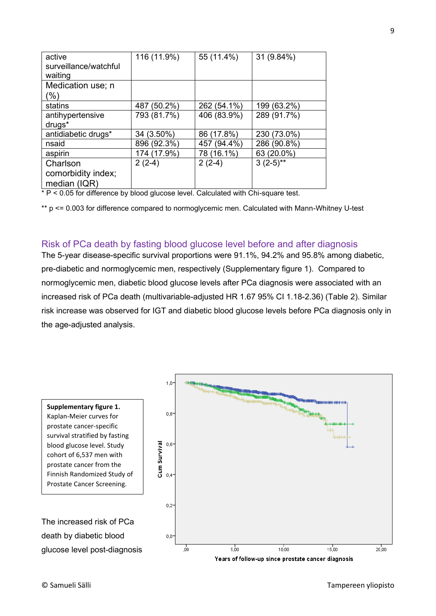| active<br>surveillance/watchful<br>waiting     | 116 (11.9%) | 55 (11.4%)  | 31 (9.84%)  |
|------------------------------------------------|-------------|-------------|-------------|
| Medication use; n<br>(%)                       |             |             |             |
| statins                                        | 487 (50.2%) | 262 (54.1%) | 199 (63.2%) |
| antihypertensive<br>drugs <sup>*</sup>         | 793 (81.7%) | 406 (83.9%) | 289 (91.7%) |
| antidiabetic drugs*                            | 34 (3.50%)  | 86 (17.8%)  | 230 (73.0%) |
| nsaid                                          | 896 (92.3%) | 457 (94.4%) | 286 (90.8%) |
| aspirin                                        | 174 (17.9%) | 78 (16.1%)  | 63 (20.0%)  |
| Charlson<br>comorbidity index;<br>median (IQR) | $2(2-4)$    | $2(2-4)$    | $3(2-5)$ ** |

\* P < 0.05 for difference by blood glucose level. Calculated with Chi-square test.

\*\* p <= 0.003 for difference compared to normoglycemic men. Calculated with Mann-Whitney U-test

#### <span id="page-9-0"></span>Risk of PCa death by fasting blood glucose level before and after diagnosis

The 5-year disease-specific survival proportions were 91.1%, 94.2% and 95.8% among diabetic, pre-diabetic and normoglycemic men, respectively (Supplementary figure 1). Compared to normoglycemic men, diabetic blood glucose levels after PCa diagnosis were associated with an increased risk of PCa death (multivariable-adjusted HR 1.67 95% CI 1.18-2.36) (Table 2). Similar risk increase was observed for IGT and diabetic blood glucose levels before PCa diagnosis only in the age-adjusted analysis.

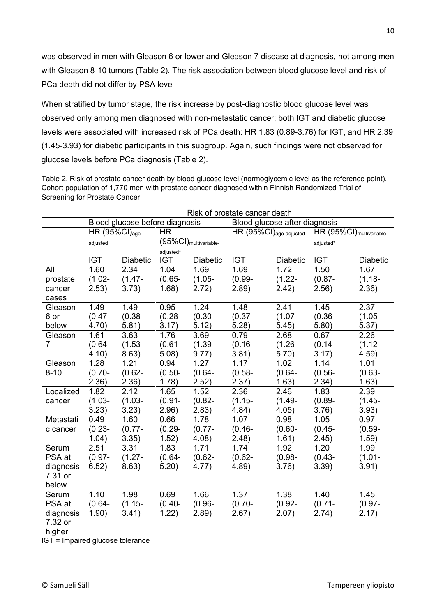was observed in men with Gleason 6 or lower and Gleason 7 disease at diagnosis, not among men with Gleason 8-10 tumors (Table 2). The risk association between blood glucose level and risk of PCa death did not differ by PSA level.

When stratified by tumor stage, the risk increase by post-diagnostic blood glucose level was observed only among men diagnosed with non-metastatic cancer; both IGT and diabetic glucose levels were associated with increased risk of PCa death: HR 1.83 (0.89-3.76) for IGT, and HR 2.39 (1.45-3.93) for diabetic participants in this subgroup. Again, such findings were not observed for glucose levels before PCa diagnosis (Table 2).

Table 2. Risk of prostate cancer death by blood glucose level (normoglycemic level as the reference point). Cohort population of 1,770 men with prostate cancer diagnosed within Finnish Randomized Trial of Screening for Prostate Cancer.

|                | Risk of prostate cancer death |                                |            |                                   |                                     |           |                                      |           |
|----------------|-------------------------------|--------------------------------|------------|-----------------------------------|-------------------------------------|-----------|--------------------------------------|-----------|
|                |                               | Blood glucose before diagnosis |            |                                   | Blood glucose after diagnosis       |           |                                      |           |
|                | HR $(95\%CI)_{age}$           |                                | <b>HR</b>  |                                   | $HR (95\%CI)_{age\text{-adjusted}}$ |           | HR (95%CI) <sub>multivariable-</sub> |           |
|                | adjusted                      |                                |            | (95%CI) <sub>multivariable-</sub> |                                     |           | adjusted*                            |           |
|                |                               |                                | adjusted*  |                                   |                                     |           |                                      |           |
|                | <b>IGT</b>                    | Diabetic                       | <b>IGT</b> | Diabetic                          | <b>IGT</b>                          | Diabetic  | <b>IGT</b>                           | Diabetic  |
| All            | 1.60                          | 2.34                           | 1.04       | 1.69                              | 1.69                                | 1.72      | 1.50                                 | 1.67      |
| prostate       | $(1.02 -$                     | $(1.47 -$                      | $(0.65 -$  | $(1.05 -$                         | $(0.99 -$                           | $(1.22 -$ | $(0.87 -$                            | $(1.18 -$ |
| cancer         | 2.53)                         | 3.73)                          | 1.68)      | 2.72)                             | 2.89)                               | 2.42)     | 2.56)                                | 2.36)     |
| cases          |                               |                                |            |                                   |                                     |           |                                      |           |
| Gleason        | 1.49                          | 1.49                           | 0.95       | 1.24                              | 1.48                                | 2.41      | 1.45                                 | 2.37      |
| 6 or           | $(0.47 -$                     | $(0.38 -$                      | $(0.28 -$  | $(0.30 -$                         | $(0.37 -$                           | $(1.07 -$ | $(0.36 -$                            | $(1.05 -$ |
| below          | 4.70)                         | 5.81)                          | 3.17)      | 5.12)                             | 5.28)                               | 5.45)     | 5.80)                                | 5.37)     |
| Gleason        | 1.61                          | 3.63                           | 1.76       | 3.69                              | 0.79                                | 2.68      | 0.67                                 | 2.26      |
| $\overline{7}$ | $(0.64 -$                     | $(1.53 -$                      | $(0.61 -$  | $(1.39 -$                         | $(0.16 -$                           | $(1.26 -$ | $(0.14 -$                            | $(1.12 -$ |
|                | 4.10)                         | 8.63)                          | 5.08)      | 9.77)                             | 3.81)                               | 5.70)     | 3.17)                                | 4.59)     |
| Gleason        | 1.28                          | 1.21                           | 0.94       | 1.27                              | 1.17                                | 1.02      | 1.14                                 | 1.01      |
| $8 - 10$       | $(0.70 -$                     | $(0.62 -$                      | $(0.50 -$  | $(0.64 -$                         | $(0.58 -$                           | $(0.64 -$ | $(0.56 -$                            | $(0.63 -$ |
|                | 2.36)                         | 2.36)                          | 1.78)      | 2.52)                             | 2.37)                               | 1.63)     | 2.34)                                | 1.63)     |
| Localized      | 1.82                          | 2.12                           | 1.65       | 1.52                              | 2.36                                | 2.46      | 1.83                                 | 2.39      |
| cancer         | $(1.03 -$                     | $(1.03 -$                      | $(0.91 -$  | $(0.82 -$                         | $(1.15 -$                           | $(1.49 -$ | $(0.89 -$                            | $(1.45 -$ |
|                | 3.23)                         | 3.23)                          | 2.96)      | 2.83)                             | 4.84)                               | 4.05)     | 3.76)                                | 3.93)     |
| Metastati      | 0.49                          | 1.60                           | 0.66       | 1.78                              | 1.07                                | 0.98      | 1.05                                 | 0.97      |
| c cancer       | $(0.23 -$                     | $(0.77 -$                      | $(0.29 -$  | $(0.77 -$                         | $(0.46 -$                           | $(0.60 -$ | $(0.45 -$                            | $(0.59 -$ |
|                | 1.04)                         | 3.35)                          | 1.52)      | 4.08)                             | 2.48)                               | 1.61)     | 2.45)                                | 1.59)     |
| Serum          | 2.51                          | 3.31                           | 1.83       | 1.71                              | 1.74                                | 1.92      | 1.20                                 | 1.99      |
| PSA at         | $(0.97 -$                     | $(1.27 -$                      | $(0.64 -$  | $(0.62 -$                         | $(0.62 -$                           | $(0.98 -$ | $(0.43 -$                            | $(1.01 -$ |
| diagnosis      | 6.52)                         | 8.63)                          | 5.20)      | 4.77)                             | 4.89)                               | 3.76)     | 3.39)                                | 3.91)     |
| 7.31 or        |                               |                                |            |                                   |                                     |           |                                      |           |
| below          |                               |                                |            |                                   |                                     |           |                                      |           |
| Serum          | 1.10                          | 1.98                           | 0.69       | 1.66                              | 1.37                                | 1.38      | 1.40                                 | 1.45      |
| PSA at         | $(0.64 -$                     | $(1.15 -$                      | $(0.40 -$  | $(0.96 -$                         | $(0.70 -$                           | $(0.92 -$ | $(0.71 -$                            | $(0.97 -$ |
| diagnosis      | 1.90)                         | 3.41)                          | 1.22)      | 2.89)                             | 2.67)                               | 2.07)     | 2.74)                                | 2.17)     |
| 7.32 or        |                               |                                |            |                                   |                                     |           |                                      |           |
| higher         |                               |                                |            |                                   |                                     |           |                                      |           |

IGT = Impaired glucose tolerance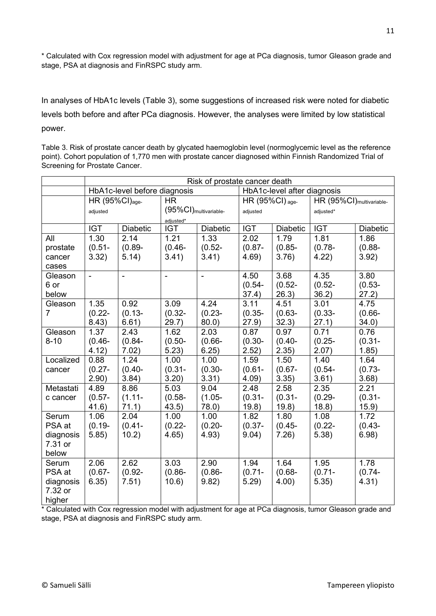\* Calculated with Cox regression model with adjustment for age at PCa diagnosis, tumor Gleason grade and stage, PSA at diagnosis and FinRSPC study arm.

In analyses of HbA1c levels (Table 3), some suggestions of increased risk were noted for diabetic levels both before and after PCa diagnosis. However, the analyses were limited by low statistical power.

Table 3. Risk of prostate cancer death by glycated haemoglobin level (normoglycemic level as the reference point). Cohort population of 1,770 men with prostate cancer diagnosed within Finnish Randomized Trial of Screening for Prostate Cancer.

|           | Risk of prostate cancer death |                              |                                   |                 |                               |                 |                                      |                 |
|-----------|-------------------------------|------------------------------|-----------------------------------|-----------------|-------------------------------|-----------------|--------------------------------------|-----------------|
|           |                               | HbA1c-level before diagnosis |                                   |                 | HbA1c-level after diagnosis   |                 |                                      |                 |
|           | HR (95%CI) <sub>age-</sub>    |                              | <b>HR</b>                         |                 | HR $(95\%CI)$ <sub>age-</sub> |                 | HR (95%CI) <sub>multivariable-</sub> |                 |
|           | adjusted                      |                              | (95%CI) <sub>multivariable-</sub> |                 | adjusted                      |                 | adjusted*                            |                 |
|           |                               |                              | adjusted*                         |                 |                               |                 |                                      |                 |
|           | <b>IGT</b>                    | <b>Diabetic</b>              | <b>IGT</b>                        | <b>Diabetic</b> | <b>IGT</b>                    | <b>Diabetic</b> | <b>IGT</b>                           | <b>Diabetic</b> |
| All       | 1.30                          | 2.14                         | 1.21                              | 1.33            | 2.02                          | 1.79            | 1.81                                 | 1.86            |
| prostate  | $(0.51 -$                     | $(0.89 -$                    | $(0.46 -$                         | $(0.52 -$       | $(0.87 -$                     | $(0.85 -$       | $(0.78 -$                            | $(0.88 -$       |
| cancer    | 3.32)                         | 5.14)                        | 3.41)                             | 3.41)           | 4.69)                         | 3.76)           | 4.22)                                | 3.92)           |
| cases     |                               |                              |                                   |                 |                               |                 |                                      |                 |
| Gleason   | $\overline{a}$                | $\overline{a}$               | $\overline{a}$                    | $\blacksquare$  | 4.50                          | 3.68            | 4.35                                 | 3.80            |
| 6 or      |                               |                              |                                   |                 | $(0.54 -$                     | $(0.52 -$       | $(0.52 -$                            | $(0.53 -$       |
| below     |                               |                              |                                   |                 | 37.4)                         | 26.3)           | 36.2)                                | 27.2)           |
| Gleason   | 1.35                          | 0.92                         | 3.09                              | 4.24            | 3.11                          | 4.51            | 3.01                                 | 4.75            |
| 7         | $(0.22 -$                     | $(0.13 -$                    | $(0.32 -$                         | $(0.23 -$       | $(0.35 -$                     | $(0.63 -$       | $(0.33 -$                            | $(0.66 -$       |
|           | 8.43)                         | 6.61)                        | 29.7)                             | $80.0$ )        | (27.9)                        | 32.3)           | 27.1)                                | 34.0)           |
| Gleason   | 1.37                          | 2.43                         | 1.62                              | 2.03            | 0.87                          | 0.97            | 0.71                                 | 0.76            |
| $8 - 10$  | $(0.46 -$                     | $(0.84 -$                    | $(0.50 -$                         | $(0.66 -$       | $(0.30 -$                     | $(0.40 -$       | $(0.25 -$                            | $(0.31 -$       |
|           | 4.12)                         | 7.02)                        | 5.23)                             | 6.25)           | 2.52)                         | 2.35)           | 2.07)                                | 1.85)           |
| Localized | 0.88                          | 1.24                         | 1.00                              | 1.00            | 1.59                          | 1.50            | 1.40                                 | 1.64            |
| cancer    | $(0.27 -$                     | $(0.40 -$                    | $(0.31 -$                         | $(0.30 -$       | $(0.61 -$                     | $(0.67 -$       | $(0.54 -$                            | $(0.73 -$       |
|           | 2.90)                         | 3.84)                        | 3.20)                             | 3.31)           | 4.09                          | 3.35)           | 3.61)                                | 3.68)           |
| Metastati | 4.89                          | 8.86                         | 5.03                              | 9.04            | 2.48                          | 2.58            | 2.35                                 | 2.21            |
| c cancer  | $(0.57 -$                     | $(1.11 -$                    | $(0.58 -$                         | $(1.05 -$       | $(0.31 -$                     | $(0.31 -$       | $(0.29 -$                            | $(0.31 -$       |
|           | 41.6)                         | 71.1)                        | 43.5)                             | 78.0)           | 19.8)                         | 19.8)           | 18.8)                                | 15.9)           |
| Serum     | 1.06                          | 2.04                         | 1.00                              | 1.00            | 1.82                          | 1.80            | 1.08                                 | 1.72            |
| PSA at    | $(0.19 -$                     | $(0.41 -$                    | $(0.22 -$                         | $(0.20 -$       | $(0.37 -$                     | $(0.45 -$       | $(0.22 -$                            | $(0.43 -$       |
| diagnosis | 5.85)                         | 10.2)                        | 4.65)                             | 4.93)           | 9.04)                         | 7.26)           | 5.38)                                | 6.98)           |
| 7.31 or   |                               |                              |                                   |                 |                               |                 |                                      |                 |
| below     |                               |                              |                                   |                 |                               |                 |                                      |                 |
| Serum     | 2.06                          | 2.62                         | 3.03                              | 2.90            | 1.94                          | 1.64            | 1.95                                 | 1.78            |
| PSA at    | $(0.67 -$                     | $(0.92 -$                    | $(0.86 -$                         | $(0.86 -$       | $(0.71 -$                     | $(0.68 -$       | $(0.71 -$                            | $(0.74 -$       |
| diagnosis | 6.35)                         | 7.51)                        | 10.6)                             | 9.82)           | 5.29)                         | 4.00)           | 5.35)                                | 4.31)           |
| 7.32 or   |                               |                              |                                   |                 |                               |                 |                                      |                 |
| higher    |                               |                              |                                   |                 |                               |                 |                                      |                 |

<span id="page-11-0"></span>\* Calculated with Cox regression model with adjustment for age at PCa diagnosis, tumor Gleason grade and stage, PSA at diagnosis and FinRSPC study arm.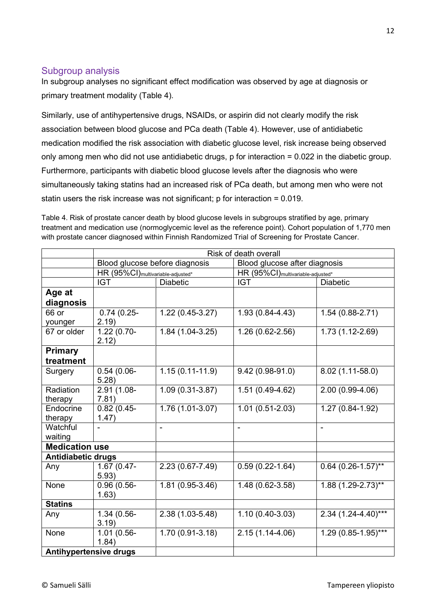### Subgroup analysis

In subgroup analyses no significant effect modification was observed by age at diagnosis or primary treatment modality (Table 4).

Similarly, use of antihypertensive drugs, NSAIDs, or aspirin did not clearly modify the risk association between blood glucose and PCa death (Table 4). However, use of antidiabetic medication modified the risk association with diabetic glucose level, risk increase being observed only among men who did not use antidiabetic drugs, p for interaction = 0.022 in the diabetic group. Furthermore, participants with diabetic blood glucose levels after the diagnosis who were simultaneously taking statins had an increased risk of PCa death, but among men who were not statin users the risk increase was not significant; p for interaction  $= 0.019$ .

Table 4. Risk of prostate cancer death by blood glucose levels in subgroups stratified by age, primary treatment and medication use (normoglycemic level as the reference point). Cohort population of 1,770 men with prostate cancer diagnosed within Finnish Randomized Trial of Screening for Prostate Cancer.

|                               | Risk of death overall                         |                                |                                               |                         |  |  |
|-------------------------------|-----------------------------------------------|--------------------------------|-----------------------------------------------|-------------------------|--|--|
|                               |                                               | Blood glucose before diagnosis | Blood glucose after diagnosis                 |                         |  |  |
|                               | HR (95%CI) <sub>multivariable-adjusted*</sub> |                                | HR (95%CI) <sub>multivariable-adjusted*</sub> |                         |  |  |
|                               | <b>IGT</b>                                    | <b>Diabetic</b>                | <b>IGT</b>                                    | <b>Diabetic</b>         |  |  |
| Age at                        |                                               |                                |                                               |                         |  |  |
| diagnosis                     |                                               |                                |                                               |                         |  |  |
| 66 or                         | $0.74(0.25-$                                  | $1.22(0.45-3.27)$              | 1.93 (0.84-4.43)                              | $1.54(0.88-2.71)$       |  |  |
| younger                       | 2.19)                                         |                                |                                               |                         |  |  |
| 67 or older                   | 1.22 (0.70-<br>2.12)                          | $1.84(1.04-3.25)$              | 1.26 (0.62-2.56)                              | 1.73 (1.12-2.69)        |  |  |
| <b>Primary</b>                |                                               |                                |                                               |                         |  |  |
| treatment                     |                                               |                                |                                               |                         |  |  |
| Surgery                       | $0.54(0.06 -$                                 | $1.15(0.11-11.9)$              | $9.42(0.98-91.0)$                             | 8.02 (1.11-58.0)        |  |  |
|                               | 5.28)                                         |                                |                                               |                         |  |  |
| Radiation                     | 2.91 (1.08-                                   | 1.09 (0.31-3.87)               | 1.51 (0.49-4.62)                              | 2.00 (0.99-4.06)        |  |  |
| therapy                       | 7.81)                                         |                                |                                               |                         |  |  |
| Endocrine                     | $0.82(0.45 -$                                 | $\overline{1.76(1.01-3.07)}$   | $1.01(0.51 - 2.03)$                           | $1.27(0.84-1.92)$       |  |  |
| therapy                       | 1.47)                                         |                                |                                               |                         |  |  |
| Watchful                      |                                               | $\blacksquare$                 | $\overline{\phantom{a}}$                      | ÷,                      |  |  |
| waiting                       |                                               |                                |                                               |                         |  |  |
| <b>Medication use</b>         |                                               |                                |                                               |                         |  |  |
| <b>Antidiabetic drugs</b>     |                                               |                                |                                               |                         |  |  |
| Any                           | 1.67 (0.47-                                   | 2.23 (0.67-7.49)               | $0.59(0.22 - 1.64)$                           | $0.64$ (0.26-1.57)**    |  |  |
|                               | 5.93)                                         |                                |                                               |                         |  |  |
| None                          | $0.96(0.56 -$                                 | $1.81(0.95-3.46)$              | 1.48 (0.62-3.58)                              | 1.88 (1.29-2.73)**      |  |  |
|                               | 1.63)                                         |                                |                                               |                         |  |  |
| <b>Statins</b>                |                                               |                                |                                               |                         |  |  |
| Any                           | 1.34 (0.56-                                   | 2.38 (1.03-5.48)               | $1.10(0.40-3.03)$                             | $2.34(1.24 - 4.40)$ *** |  |  |
|                               | 3.19)                                         |                                |                                               |                         |  |  |
| None                          | 1.01 (0.56-<br>1.84)                          | 1.70 (0.91-3.18)               | $2.15(1.14-4.06)$                             | 1.29 (0.85-1.95)***     |  |  |
| <b>Antihypertensive drugs</b> |                                               |                                |                                               |                         |  |  |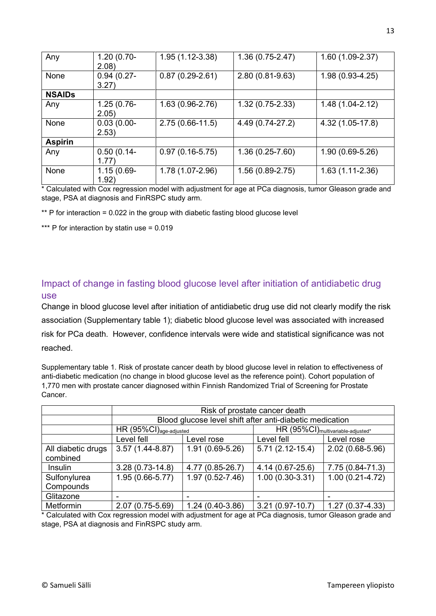| Any            | $1.20(0.70-$<br>2.08)  | $1.95(1.12-3.38)$   | $1.36(0.75-2.47)$ | $1.60(1.09-2.37)$   |
|----------------|------------------------|---------------------|-------------------|---------------------|
| <b>None</b>    | $0.94(0.27 -$<br>3.27) | $0.87(0.29-2.61)$   | 2.80 (0.81-9.63)  | $1.98(0.93 - 4.25)$ |
| <b>NSAIDs</b>  |                        |                     |                   |                     |
| Any            | $1.25(0.76 -$<br>2.05) | $1.63(0.96-2.76)$   | $1.32(0.75-2.33)$ | $1.48(1.04 - 2.12)$ |
| None           | $0.03(0.00 -$<br>2.53) | $2.75(0.66 - 11.5)$ | 4.49 (0.74-27.2)  | 4.32 (1.05-17.8)    |
| <b>Aspirin</b> |                        |                     |                   |                     |
| Any            | $0.50(0.14 -$<br>1.77  | $0.97(0.16-5.75)$   | $1.36(0.25-7.60)$ | $1.90(0.69-5.26)$   |
| None           | $1.15(0.69 -$<br>1.92) | 1.78 (1.07-2.96)    | $1.56(0.89-2.75)$ | $1.63(1.11-2.36)$   |

\* Calculated with Cox regression model with adjustment for age at PCa diagnosis, tumor Gleason grade and stage, PSA at diagnosis and FinRSPC study arm.

 $*$  P for interaction = 0.022 in the group with diabetic fasting blood glucose level

\*\*\* P for interaction by statin use = 0.019

### <span id="page-13-0"></span>Impact of change in fasting blood glucose level after initiation of antidiabetic drug use

Change in blood glucose level after initiation of antidiabetic drug use did not clearly modify the risk association (Supplementary table 1); diabetic blood glucose level was associated with increased risk for PCa death. However, confidence intervals were wide and statistical significance was not reached.

Supplementary table 1. Risk of prostate cancer death by blood glucose level in relation to effectiveness of anti-diabetic medication (no change in blood glucose level as the reference point). Cohort population of 1,770 men with prostate cancer diagnosed within Finnish Randomized Trial of Screening for Prostate Cancer.

|                                |                                     | Risk of prostate cancer death |                                                          |                     |  |  |
|--------------------------------|-------------------------------------|-------------------------------|----------------------------------------------------------|---------------------|--|--|
|                                |                                     |                               | Blood glucose level shift after anti-diabetic medication |                     |  |  |
|                                | $HR (95\%CI)_{age\text{-adjusted}}$ |                               | HR (95%CI) <sub>multivariable-adjusted*</sub>            |                     |  |  |
|                                | Level fell                          | Level rose                    | Level fell                                               | Level rose          |  |  |
| All diabetic drugs<br>combined | $3.57(1.44 - 8.87)$                 | $1.91(0.69-5.26)$             | $5.71(2.12-15.4)$                                        | 2.02 (0.68-5.96)    |  |  |
| Insulin                        | $3.28(0.73-14.8)$                   | 4.77 (0.85-26.7)              | 4.14 (0.67-25.6)                                         | 7.75 (0.84-71.3)    |  |  |
| Sulfonylurea                   | 1.95 (0.66-5.77)                    | $1.97(0.52 - 7.46)$           | $1.00(0.30-3.31)$                                        | $1.00(0.21 - 4.72)$ |  |  |
| Compounds                      |                                     |                               |                                                          |                     |  |  |
| Glitazone                      |                                     |                               |                                                          |                     |  |  |
| Metformin                      | 2.07 (0.75-5.69)                    | $1.24(0.40-3.86)$             | $3.21(0.97-10.7)$                                        | $1.27(0.37 - 4.33)$ |  |  |

\* Calculated with Cox regression model with adjustment for age at PCa diagnosis, tumor Gleason grade and stage, PSA at diagnosis and FinRSPC study arm.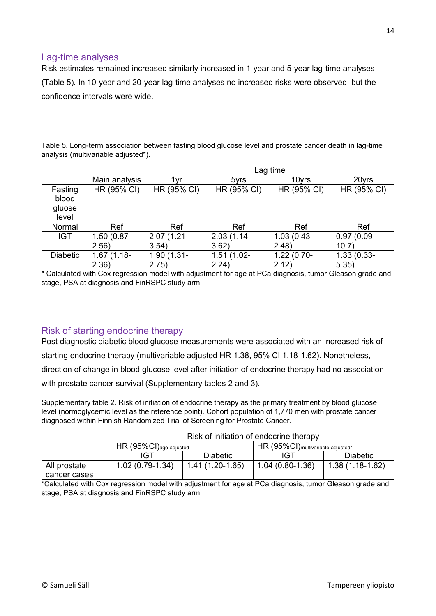### <span id="page-14-0"></span>Lag-time analyses

Risk estimates remained increased similarly increased in 1-year and 5-year lag-time analyses (Table 5). In 10-year and 20-year lag-time analyses no increased risks were observed, but the confidence intervals were wide.

Table 5. Long-term association between fasting blood glucose level and prostate cancer death in lag-time analysis (multivariable adjusted\*).

|                                     |                         |                        | Lag time               |                        |                        |  |  |
|-------------------------------------|-------------------------|------------------------|------------------------|------------------------|------------------------|--|--|
|                                     | Main analysis           | 1vr                    | 5yrs                   | 10yrs                  | 20yrs                  |  |  |
| Fasting<br>blood<br>gluose<br>level | HR (95% CI)             | HR (95% CI)            | HR (95% CI)            | HR (95% CI)            | HR (95% CI)            |  |  |
| Normal                              | Ref                     | Ref                    | Ref                    | Ref                    | Ref                    |  |  |
| <b>IGT</b>                          | $1.50(0.87 -$<br>2.56)  | $2.07(1.21 -$<br>3.54) | $2.03(1.14 -$<br>3.62) | $1.03(0.43 -$<br>2.48) | $0.97(0.09 -$<br>10.7  |  |  |
| <b>Diabetic</b>                     | $1.67(1.18 -$<br>(2.36) | $1.90(1.31 -$<br>2.75) | $1.51(1.02 -$<br>2.24) | $1.22(0.70-$<br>2.12)  | $1.33(0.33 -$<br>5.35) |  |  |

\* Calculated with Cox regression model with adjustment for age at PCa diagnosis, tumor Gleason grade and stage, PSA at diagnosis and FinRSPC study arm.

### <span id="page-14-1"></span>Risk of starting endocrine therapy

Post diagnostic diabetic blood glucose measurements were associated with an increased risk of starting endocrine therapy (multivariable adjusted HR 1.38, 95% CI 1.18-1.62). Nonetheless, direction of change in blood glucose level after initiation of endocrine therapy had no association with prostate cancer survival (Supplementary tables 2 and 3).

Supplementary table 2. Risk of initiation of endocrine therapy as the primary treatment by blood glucose level (normoglycemic level as the reference point). Cohort population of 1,770 men with prostate cancer diagnosed within Finnish Randomized Trial of Screening for Prostate Cancer.

|              | Risk of initiation of endocrine therapy                                                                  |                   |                   |                   |  |
|--------------|----------------------------------------------------------------------------------------------------------|-------------------|-------------------|-------------------|--|
|              | $\mathsf{HR}$ (95%CI) $_{\mathsf{age\text{-}adjusted}}$<br>HR (95%CI) <sub>multivariable-adjusted*</sub> |                   |                   |                   |  |
|              | IGT                                                                                                      | <b>Diabetic</b>   | IGT               | <b>Diabetic</b>   |  |
| All prostate | $1.02(0.79-1.34)$                                                                                        | $1.41(1.20-1.65)$ | $1.04(0.80-1.36)$ | $1.38(1.18-1.62)$ |  |
| cancer cases |                                                                                                          |                   |                   |                   |  |

\*Calculated with Cox regression model with adjustment for age at PCa diagnosis, tumor Gleason grade and stage, PSA at diagnosis and FinRSPC study arm.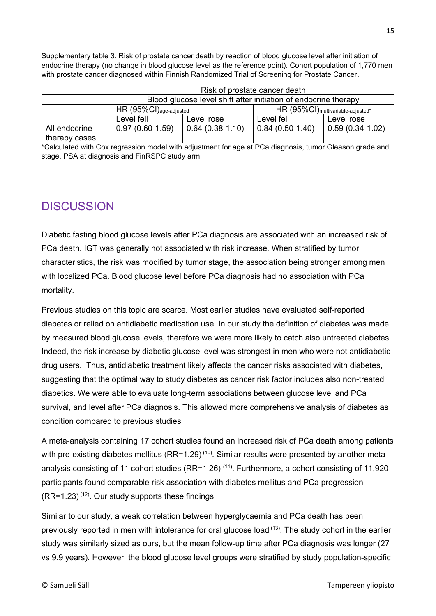Supplementary table 3. Risk of prostate cancer death by reaction of blood glucose level after initiation of endocrine therapy (no change in blood glucose level as the reference point). Cohort population of 1,770 men with prostate cancer diagnosed within Finnish Randomized Trial of Screening for Prostate Cancer.

|                                | Risk of prostate cancer death       |                                                                 |                                               |                   |  |  |
|--------------------------------|-------------------------------------|-----------------------------------------------------------------|-----------------------------------------------|-------------------|--|--|
|                                |                                     | Blood glucose level shift after initiation of endocrine therapy |                                               |                   |  |  |
|                                | $HR (95\%CI)_{age\text{-}adjusted}$ |                                                                 | HR (95%CI) <sub>multivariable-adjusted*</sub> |                   |  |  |
|                                | Level fell                          | Level rose                                                      | Level fell                                    | Level rose        |  |  |
| All endocrine<br>therapy cases | $0.97(0.60-1.59)$                   | $0.64(0.38-1.10)$                                               | $  0.84 (0.50 - 1.40)$                        | $0.59(0.34-1.02)$ |  |  |

\*Calculated with Cox regression model with adjustment for age at PCa diagnosis, tumor Gleason grade and stage, PSA at diagnosis and FinRSPC study arm.

### <span id="page-15-0"></span>**DISCUSSION**

Diabetic fasting blood glucose levels after PCa diagnosis are associated with an increased risk of PCa death. IGT was generally not associated with risk increase. When stratified by tumor characteristics, the risk was modified by tumor stage, the association being stronger among men with localized PCa. Blood glucose level before PCa diagnosis had no association with PCa mortality.

Previous studies on this topic are scarce. Most earlier studies have evaluated self-reported diabetes or relied on antidiabetic medication use. In our study the definition of diabetes was made by measured blood glucose levels, therefore we were more likely to catch also untreated diabetes. Indeed, the risk increase by diabetic glucose level was strongest in men who were not antidiabetic drug users. Thus, antidiabetic treatment likely affects the cancer risks associated with diabetes, suggesting that the optimal way to study diabetes as cancer risk factor includes also non-treated diabetics. We were able to evaluate long-term associations between glucose level and PCa survival, and level after PCa diagnosis. This allowed more comprehensive analysis of diabetes as condition compared to previous studies

A meta-analysis containing 17 cohort studies found an increased risk of PCa death among patients with pre-existing diabetes mellitus (RR=1.29)<sup>(10)</sup>. Similar results were presented by another metaanalysis consisting of 11 cohort studies (RR=1.26)<sup>(11)</sup>. Furthermore, a cohort consisting of 11,920 participants found comparable risk association with diabetes mellitus and PCa progression  $(RR=1.23)^{(12)}$ . Our study supports these findings.

Similar to our study, a weak correlation between hyperglycaemia and PCa death has been previously reported in men with intolerance for oral glucose load <sup>(13)</sup>. The study cohort in the earlier study was similarly sized as ours, but the mean follow-up time after PCa diagnosis was longer (27 vs 9.9 years). However, the blood glucose level groups were stratified by study population-specific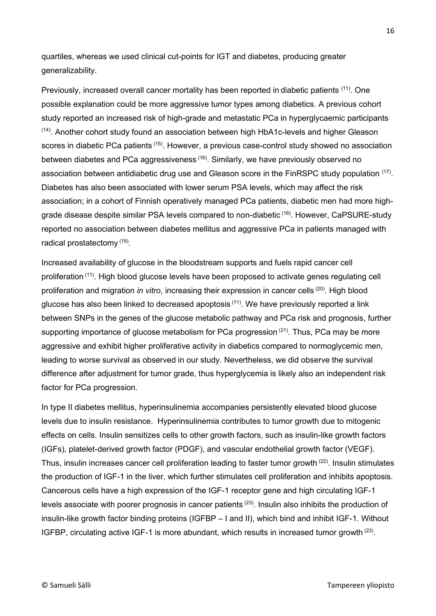quartiles, whereas we used clinical cut-points for IGT and diabetes, producing greater generalizability.

Previously, increased overall cancer mortality has been reported in diabetic patients <sup>(11)</sup>. One possible explanation could be more aggressive tumor types among diabetics. A previous cohort study reported an increased risk of high-grade and metastatic PCa in hyperglycaemic participants <sup>(14)</sup>. Another cohort study found an association between high HbA1c-levels and higher Gleason scores in diabetic PCa patients<sup>(15)</sup>. However, a previous case-control study showed no association between diabetes and PCa aggressiveness<sup>(16)</sup>. Similarly, we have previously observed no association between antidiabetic drug use and Gleason score in the FinRSPC study population  $(17)$ . Diabetes has also been associated with lower serum PSA levels, which may affect the risk association; in a cohort of Finnish operatively managed PCa patients, diabetic men had more highgrade disease despite similar PSA levels compared to non-diabetic <sup>(18)</sup>. However, CaPSURE-study reported no association between diabetes mellitus and aggressive PCa in patients managed with radical prostatectomy (19).

Increased availability of glucose in the bloodstream supports and fuels rapid cancer cell proliferation<sup>(11)</sup>. High blood glucose levels have been proposed to activate genes regulating cell proliferation and migration *in vitro*, increasing their expression in cancer cells<sup>(20)</sup>. High blood glucose has also been linked to decreased apoptosis<sup>(11)</sup>. We have previously reported a link between SNPs in the genes of the glucose metabolic pathway and PCa risk and prognosis, further supporting importance of glucose metabolism for PCa progression <sup>(21)</sup>. Thus, PCa may be more aggressive and exhibit higher proliferative activity in diabetics compared to normoglycemic men, leading to worse survival as observed in our study. Nevertheless, we did observe the survival difference after adjustment for tumor grade, thus hyperglycemia is likely also an independent risk factor for PCa progression.

In type II diabetes mellitus, hyperinsulinemia accompanies persistently elevated blood glucose levels due to insulin resistance. Hyperinsulinemia contributes to tumor growth due to mitogenic effects on cells. Insulin sensitizes cells to other growth factors, such as insulin-like growth factors (IGFs), platelet-derived growth factor (PDGF), and vascular endothelial growth factor (VEGF). Thus, insulin increases cancer cell proliferation leading to faster tumor growth <sup>(22)</sup>. Insulin stimulates the production of IGF-1 in the liver, which further stimulates cell proliferation and inhibits apoptosis. Cancerous cells have a high expression of the IGF-1 receptor gene and high circulating IGF-1 levels associate with poorer prognosis in cancer patients  $(23)$ . Insulin also inhibits the production of insulin-like growth factor binding proteins (IGFBP – I and II), which bind and inhibit IGF-1. Without IGFBP, circulating active IGF-1 is more abundant, which results in increased tumor growth <sup>(23)</sup>.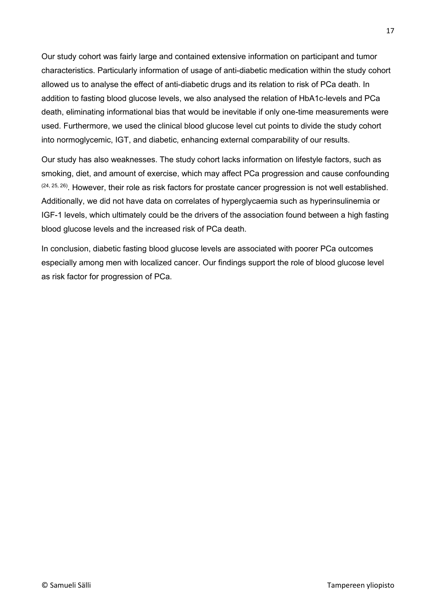Our study cohort was fairly large and contained extensive information on participant and tumor characteristics. Particularly information of usage of anti-diabetic medication within the study cohort allowed us to analyse the effect of anti-diabetic drugs and its relation to risk of PCa death. In addition to fasting blood glucose levels, we also analysed the relation of HbA1c-levels and PCa death, eliminating informational bias that would be inevitable if only one-time measurements were used. Furthermore, we used the clinical blood glucose level cut points to divide the study cohort into normoglycemic, IGT, and diabetic, enhancing external comparability of our results.

Our study has also weaknesses. The study cohort lacks information on lifestyle factors, such as smoking, diet, and amount of exercise, which may affect PCa progression and cause confounding  $(24, 25, 26)$ . However, their role as risk factors for prostate cancer progression is not well established. Additionally, we did not have data on correlates of hyperglycaemia such as hyperinsulinemia or IGF-1 levels, which ultimately could be the drivers of the association found between a high fasting blood glucose levels and the increased risk of PCa death.

In conclusion, diabetic fasting blood glucose levels are associated with poorer PCa outcomes especially among men with localized cancer. Our findings support the role of blood glucose level as risk factor for progression of PCa.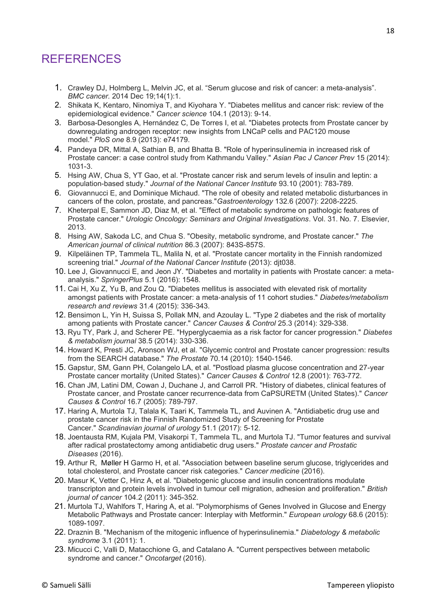## <span id="page-18-0"></span>REFERENCES

- 1. Crawley DJ, Holmberg L, Melvin JC, et al. "Serum glucose and risk of cancer: a meta-analysis". *BMC cancer.* 2014 Dec 19;14(1):1.
- 2. Shikata K, Kentaro, Ninomiya T, and Kiyohara Y. "Diabetes mellitus and cancer risk: review of the epidemiological evidence." *Cancer science* 104.1 (2013): 9-14.
- 3. Barbosa-Desongles A, Hernández C, De Torres I, et al. "Diabetes protects from Prostate cancer by downregulating androgen receptor: new insights from LNCaP cells and PAC120 mouse model." *PloS one* 8.9 (2013): e74179.
- 4. Pandeya DR, Mittal A, Sathian B, and Bhatta B. "Role of hyperinsulinemia in increased risk of Prostate cancer: a case control study from Kathmandu Valley." *Asian Pac J Cancer Prev* 15 (2014): 1031-3.
- 5. Hsing AW, Chua S, YT Gao, et al. "Prostate cancer risk and serum levels of insulin and leptin: a population-based study." *Journal of the National Cancer Institute* 93.10 (2001): 783-789.
- 6. Giovannucci E, and Dominique Michaud. "The role of obesity and related metabolic disturbances in cancers of the colon, prostate, and pancreas."*Gastroenterology* 132.6 (2007): 2208-2225.
- 7. Kheterpal E, Sammon JD, Diaz M, et al. "Effect of metabolic syndrome on pathologic features of Prostate cancer." *Urologic Oncology: Seminars and Original Investigations*. Vol. 31. No. 7. Elsevier, 2013.
- 8. Hsing AW, Sakoda LC, and Chua S. "Obesity, metabolic syndrome, and Prostate cancer." *The American journal of clinical nutrition* 86.3 (2007): 843S-857S.
- 9. Kilpeläinen TP, Tammela TL, Malila N, et al. "Prostate cancer mortality in the Finnish randomized screening trial." *Journal of the National Cancer Institute* (2013): djt038.
- 10. Lee J, Giovannucci E, and Jeon JY. "Diabetes and mortality in patients with Prostate cancer: a metaanalysis." *SpringerPlus* 5.1 (2016): 1548.
- 11. Cai H, Xu Z, Yu B, and Zou Q. "Diabetes mellitus is associated with elevated risk of mortality amongst patients with Prostate cancer: a meta‐analysis of 11 cohort studies." *Diabetes/metabolism research and reviews* 31.4 (2015): 336-343.
- 12. Bensimon L, Yin H, Suissa S, Pollak MN, and Azoulay L. "Type 2 diabetes and the risk of mortality among patients with Prostate cancer." *Cancer Causes & Control* 25.3 (2014): 329-338.
- 13. Ryu TY, Park J, and Scherer PE. "Hyperglycaemia as a risk factor for cancer progression." *Diabetes & metabolism journal* 38.5 (2014): 330-336.
- 14. Howard K, Presti JC, Aronson WJ, et al. "Glycemic control and Prostate cancer progression: results from the SEARCH database." *The Prostate* 70.14 (2010): 1540-1546.
- 15. Gapstur, SM, Gann PH, Colangelo LA, et al. "Postload plasma glucose concentration and 27-year Prostate cancer mortality (United States)." *Cancer Causes & Control* 12.8 (2001): 763-772.
- 16. Chan JM, Latini DM, Cowan J, Duchane J, and Carroll PR. "History of diabetes, clinical features of Prostate cancer, and Prostate cancer recurrence-data from CaPSURETM (United States)." *Cancer Causes & Control* 16.7 (2005): 789-797.
- 17. Haring A, Murtola TJ, Talala K, Taari K, Tammela TL, and Auvinen A. "Antidiabetic drug use and prostate cancer risk in the Finnish Randomized Study of Screening for Prostate Cancer." *Scandinavian journal of urology* 51.1 (2017): 5-12.
- 18. Joentausta RM, Kujala PM, Visakorpi T, Tammela TL, and Murtola TJ. "Tumor features and survival after radical prostatectomy among antidiabetic drug users." *Prostate cancer and Prostatic Diseases* (2016).
- 19. Arthur R, Møller H Garmo H, et al. "Association between baseline serum glucose, triglycerides and total cholesterol, and Prostate cancer risk categories." *Cancer medicine* (2016).
- 20. Masur K, Vetter C, Hinz A, et al. "Diabetogenic glucose and insulin concentrations modulate transcripton and protein levels involved in tumour cell migration, adhesion and proliferation." *British journal of cancer* 104.2 (2011): 345-352.
- 21. Murtola TJ, Wahlfors T, Haring A, et al. "Polymorphisms of Genes Involved in Glucose and Energy Metabolic Pathways and Prostate cancer: Interplay with Metformin." *European urology* 68.6 (2015): 1089-1097.
- 22. Draznin B. "Mechanism of the mitogenic influence of hyperinsulinemia." *Diabetology & metabolic syndrome* 3.1 (2011): 1.
- 23. Micucci C, Valli D, Matacchione G, and Catalano A. "Current perspectives between metabolic syndrome and cancer." *Oncotarget* (2016).